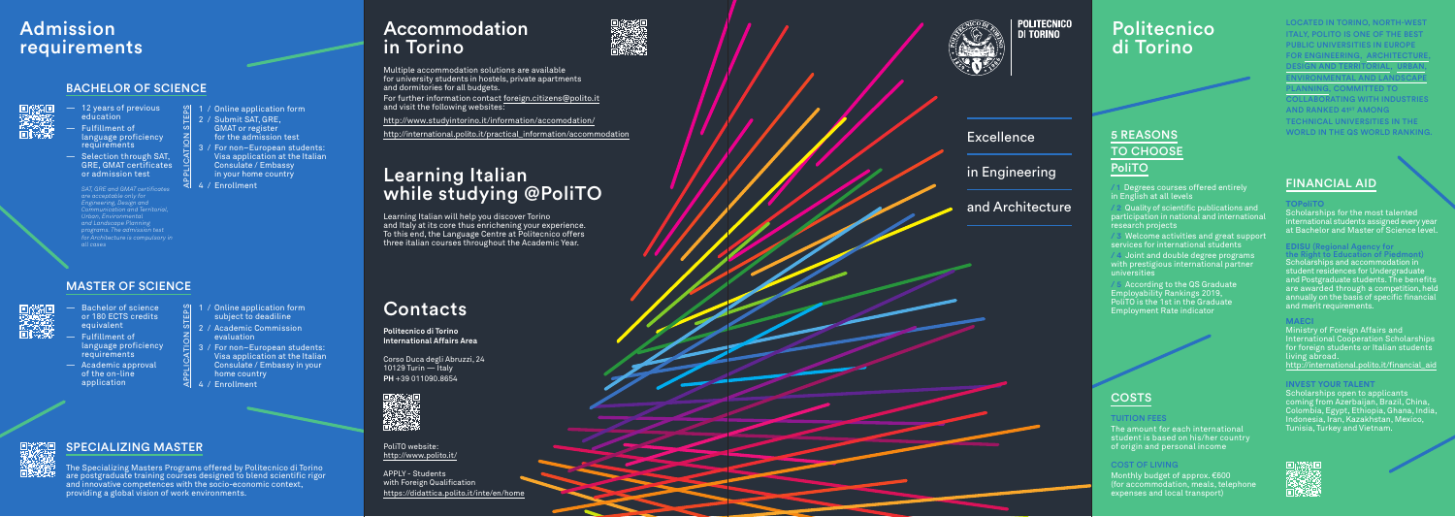APPLY - Students with Foreign Qualification https://didattica.polito.it/inte/en/home



PoliTO website: http://www.polito.it/ in Engineering

and Architecture

The Specializing Masters Programs offered by Politecnico di Torino are postgraduate training courses designed to blend scientific rigor and innovative competences with the socio-economic context, move the specific of science of 1 / Online a<br>
or 180 ECTS credits<br>
equivalent<br>
— Fulfillment of<br>
language proficiency<br>
deademic approval<br>
of the on-line<br>
application<br>
application<br>
application<br>
SPECIALIZING MASTER<br>
The Spec



POLITECNICO<br>Di Torino

Corso Duca degli Abruzzi, 24 10129 Turin — Italy **PH** +39 011090.8654



**Politecnico di Torino International Affairs Area**

## Admission requirements

#### SPECIALIZING MASTER

## Learning Italian while studying @PoliTO

## **Accommodation** in Torino



Learning Italian will help you discover Torino and Italy at its core thus enrichening your experience. To this end, the Language Centre at Politecnico offers three italian courses throughout the Academic Year.

Multiple accommodation solutions are available for university students in hostels, private apartments and dormitories for all budgets.

LOCATED IN TORINO, NORTH-WEST ITALY, POLITO IS ONE OF THE BEST PUBLIC UNIVERSITIES IN EUROPE FOR ENGINEERING ARCHITECT DESIGN AND TERRITORIAL, URBAN , ENVIRONMENTAL AND LANDSCAPE LANNING, COMMITTED TO COLLABORATING WITH INDUSTRIES AND RANKED 41ST AMONG TECHNICAL UNIVERSITIES IN THE WORLD IN THE QS WORLD RANKING.

# **Excellence**

For further information contact foreign.citizens@polito.it and visit the following websites:

http://www.studyintorino.it/information/accomodation/

http://international.polito.it/practical\_information/accommodation

#### BACHELOR OF SCIENCE



- or 180 ECTS credits equivalent
- Fulfillment of language proficiency requirements
- Academic approval of the on-line application
- $\mathcal{L}$  1 / Online application form subject to deadiline APPLICATION STEPS
	- 2 / Academic Commission evaluation
	- / For non-European students: Visa application at the Italian Consulate / Embassy in your home country
- 4 / Enrollment

## **Contacts**

- 12 years of previous education
- Fulfillment of language proficiency **requirements**
- Selection through SAT, GRE, GMAT certificates or admission test

*SAT, GRE and GMAT certificates are acceptable only for Engineering, Design and Communication and Territorial, Urban, Environmental and Landscape Planning programs. The admission test for Architecture is compulsory in all cases*

- $\sqrt{8}$  1 / Online application form APPLICATION STEPS
- $\begin{bmatrix} 2 \\ 2 \end{bmatrix}$  2 / Submit SAT, GRE, GMAT or register for the admission test
- 3 / For non–European students: Visa application at the Italian Consulate / Embassy in your home country
- $\overline{4}$  4 / Enrollment

2 Quality of scientific publications and participation in national and international research projects

**Welcome activities and great support** services for international students

#### MASTER OF SCIENCE



**EXECORDING** to the QS Graduate Employability Rankings 2019, PoliTO is the 1st in the Graduate Employment Rate indicator



## **COSTS**

## Politecnico di Torino

#### TUITION FEES

The amount for each international student is based on his/her country of origin and personal income

#### COST OF LIVING

Monthly budget of approx. €600 (for accommodation, meals, telephone expenses and local transport)

#### FINANCIAL AID

#### **TOPoliTO**

Scholarships for the most talented international students assigned every year at Bachelor and Master of Science level.

## **EDISU** (Regional Agency for

Scholarships and accommodation in student residences for Undergraduate and Postgraduate students. The benefits are awarded through a competition, held annually on the basis of specific financial and merit requirements.

#### **MAECI**

Ministry of Foreign Affairs and International Cooperation Scholarships for foreign students or Italian students living abroad. http://international.polito.it/financial\_aid

#### **INVEST YOUR TALENT**

Scholarships open to applicants coming from Azerbaijan, Brazil, China, Colombia, Egypt, Ethiopia, Ghana, India, Indonesia, Iran, Kazakhstan, Mexico, Tunisia, Turkey and Vietnam.



## 5 REASONS TO CHOOSE PoliTO

/ 1 Degrees courses offered entirely in English at all levels

/ 4 Joint and double degree programs with prestigious international partner universities